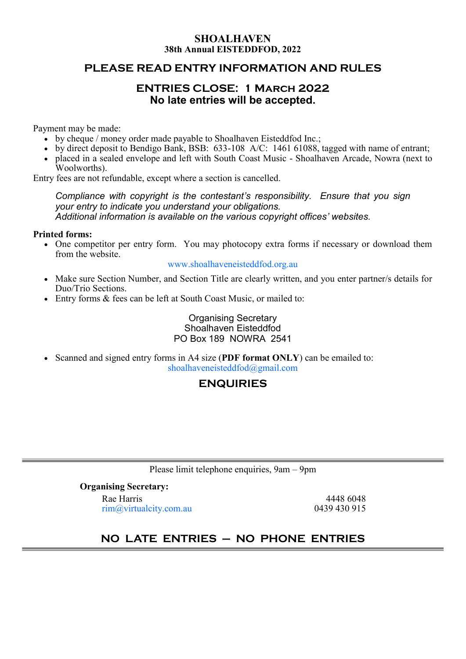### **SHOALHAVEN 38th Annual EISTEDDFOD, 2022**

### **PLEASE READ ENTRY INFORMATION AND RULES**

## **ENTRIES CLOSE: 1 March 2022 No late entries will be accepted.**

Payment may be made:

- by cheque / money order made payable to Shoalhaven Eisteddfod Inc.;
- by direct deposit to Bendigo Bank, BSB: 633-108 A/C: 1461 61088, tagged with name of entrant;
- placed in a sealed envelope and left with South Coast Music Shoalhaven Arcade, Nowra (next to Woolworths).

Entry fees are not refundable, except where a section is cancelled.

*Compliance with copyright is the contestant's responsibility. Ensure that you sign your entry to indicate you understand your obligations. Additional information is available on the various copyright offices' websites.*

#### **Printed forms:**

• One competitor per entry form. You may photocopy extra forms if necessary or download them from the website.

#### [www.shoalhaveneisteddfod.org.au](http://www.shoalhaveneisteddfod.org.au/)

- Make sure Section Number, and Section Title are clearly written, and you enter partner/s details for Duo/Trio Sections.
- Entry forms & fees can be left at South Coast Music, or mailed to:

### Organising Secretary Shoalhaven Eisteddfod PO Box 189 NOWRA 2541

• Scanned and signed entry forms in A4 size (**PDF format ONLY**) can be emailed to: [shoalhaveneisteddfod@gmail.com](mailto:shoalhaveneisteddfod@gmail.com)

## **ENQUIRIES**

Please limit telephone enquiries, 9am – 9pm

**Organising Secretary:** Rae Harris 4448 6048  $rim(\omega)$  virtualcity.com.au 0439 430 915

# **NO LATE ENTRIES – NO PHONE ENTRIES**